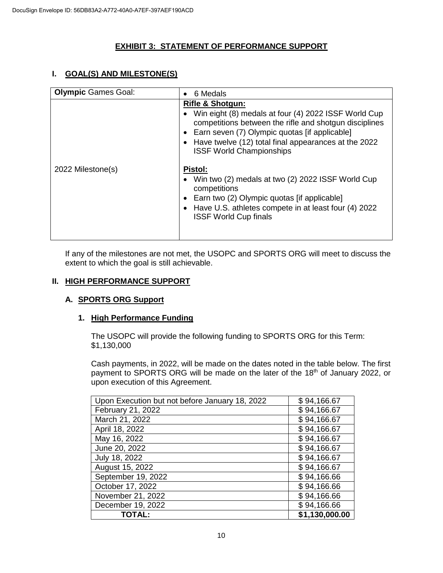# **EXHIBIT 3: STATEMENT OF PERFORMANCE SUPPORT**

## **I. GOAL(S) AND MILESTONE(S)**

| <b>Olympic Games Goal:</b> | 6 Medals<br>$\bullet$                                                                                                                                                                                                                                                                       |
|----------------------------|---------------------------------------------------------------------------------------------------------------------------------------------------------------------------------------------------------------------------------------------------------------------------------------------|
|                            | <b>Rifle &amp; Shotgun:</b><br>Win eight (8) medals at four (4) 2022 ISSF World Cup<br>competitions between the rifle and shotgun disciplines<br>• Earn seven (7) Olympic quotas [if applicable]<br>Have twelve (12) total final appearances at the 2022<br><b>ISSF World Championships</b> |
| 2022 Milestone(s)          | Pistol:<br>Win two (2) medals at two (2) 2022 ISSF World Cup<br>competitions<br>Earn two (2) Olympic quotas [if applicable]<br>$\bullet$<br>• Have U.S. athletes compete in at least four (4) 2022<br><b>ISSF World Cup finals</b>                                                          |

If any of the milestones are not met, the USOPC and SPORTS ORG will meet to discuss the extent to which the goal is still achievable.

#### **II. HIGH PERFORMANCE SUPPORT**

### **A. SPORTS ORG Support**

#### **1. High Performance Funding**

The USOPC will provide the following funding to SPORTS ORG for this Term: \$1,130,000

Cash payments, in 2022, will be made on the dates noted in the table below. The first payment to SPORTS ORG will be made on the later of the 18<sup>th</sup> of January 2022, or upon execution of this Agreement.

| Upon Execution but not before January 18, 2022 | \$94,166.67    |
|------------------------------------------------|----------------|
| February 21, 2022                              | \$94,166.67    |
| March 21, 2022                                 | \$94,166.67    |
| April 18, 2022                                 | \$94,166.67    |
| May 16, 2022                                   | \$94,166.67    |
| June 20, 2022                                  | \$94,166.67    |
| July 18, 2022                                  | \$94,166.67    |
| August 15, 2022                                | \$94,166.67    |
| September 19, 2022                             | \$94,166.66    |
| October 17, 2022                               | \$94,166.66    |
| November 21, 2022                              | \$94,166.66    |
| December 19, 2022                              | \$94,166.66    |
| TOTAL:                                         | \$1,130,000.00 |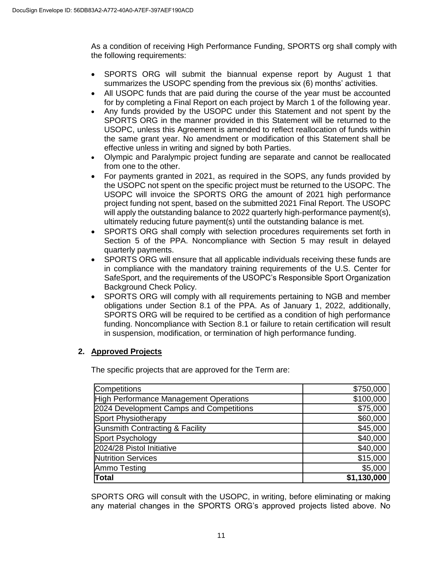As a condition of receiving High Performance Funding, SPORTS org shall comply with the following requirements:

- SPORTS ORG will submit the biannual expense report by August 1 that summarizes the USOPC spending from the previous six (6) months' activities.
- All USOPC funds that are paid during the course of the year must be accounted for by completing a Final Report on each project by March 1 of the following year.
- Any funds provided by the USOPC under this Statement and not spent by the SPORTS ORG in the manner provided in this Statement will be returned to the USOPC, unless this Agreement is amended to reflect reallocation of funds within the same grant year. No amendment or modification of this Statement shall be effective unless in writing and signed by both Parties.
- Olympic and Paralympic project funding are separate and cannot be reallocated from one to the other.
- For payments granted in 2021, as required in the SOPS, any funds provided by the USOPC not spent on the specific project must be returned to the USOPC. The USOPC will invoice the SPORTS ORG the amount of 2021 high performance project funding not spent, based on the submitted 2021 Final Report. The USOPC will apply the outstanding balance to 2022 quarterly high-performance payment(s), ultimately reducing future payment(s) until the outstanding balance is met.
- SPORTS ORG shall comply with selection procedures requirements set forth in Section 5 of the PPA. Noncompliance with Section 5 may result in delayed quarterly payments.
- SPORTS ORG will ensure that all applicable individuals receiving these funds are in compliance with the mandatory training requirements of the U.S. Center for SafeSport, and the requirements of the USOPC's Responsible Sport Organization Background Check Policy.
- SPORTS ORG will comply with all requirements pertaining to NGB and member obligations under Section 8.1 of the PPA. As of January 1, 2022, additionally, SPORTS ORG will be required to be certified as a condition of high performance funding. Noncompliance with Section 8.1 or failure to retain certification will result in suspension, modification, or termination of high performance funding.

# **2. Approved Projects**

The specific projects that are approved for the Term are:

| <b>Competitions</b>                        | \$750,000   |
|--------------------------------------------|-------------|
| High Performance Management Operations     | \$100,000   |
| 2024 Development Camps and Competitions    | \$75,000    |
| Sport Physiotherapy                        | \$60,000    |
| <b>Gunsmith Contracting &amp; Facility</b> | \$45,000    |
| Sport Psychology                           | \$40,000    |
| 2024/28 Pistol Initiative                  | \$40,000    |
| <b>Nutrition Services</b>                  | \$15,000    |
| Ammo Testing                               | \$5,000     |
| <b>Total</b>                               | \$1,130,000 |

SPORTS ORG will consult with the USOPC, in writing, before eliminating or making any material changes in the SPORTS ORG's approved projects listed above. No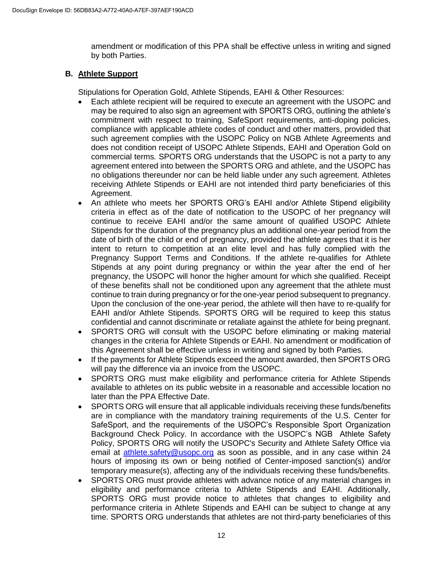amendment or modification of this PPA shall be effective unless in writing and signed by both Parties.

## **B. Athlete Support**

Stipulations for Operation Gold, Athlete Stipends, EAHI & Other Resources:

- Each athlete recipient will be required to execute an agreement with the USOPC and may be required to also sign an agreement with SPORTS ORG, outlining the athlete's commitment with respect to training, SafeSport requirements, anti-doping policies, compliance with applicable athlete codes of conduct and other matters, provided that such agreement complies with the USOPC Policy on NGB Athlete Agreements and does not condition receipt of USOPC Athlete Stipends, EAHI and Operation Gold on commercial terms*.* SPORTS ORG understands that the USOPC is not a party to any agreement entered into between the SPORTS ORG and athlete, and the USOPC has no obligations thereunder nor can be held liable under any such agreement. Athletes receiving Athlete Stipends or EAHI are not intended third party beneficiaries of this Agreement.
- An athlete who meets her SPORTS ORG's EAHI and/or Athlete Stipend eligibility criteria in effect as of the date of notification to the USOPC of her pregnancy will continue to receive EAHI and/or the same amount of qualified USOPC Athlete Stipends for the duration of the pregnancy plus an additional one-year period from the date of birth of the child or end of pregnancy, provided the athlete agrees that it is her intent to return to competition at an elite level and has fully complied with the Pregnancy Support Terms and Conditions. If the athlete re-qualifies for Athlete Stipends at any point during pregnancy or within the year after the end of her pregnancy, the USOPC will honor the higher amount for which she qualified. Receipt of these benefits shall not be conditioned upon any agreement that the athlete must continue to train during pregnancy or for the one-year period subsequent to pregnancy. Upon the conclusion of the one-year period, the athlete will then have to re-qualify for EAHI and/or Athlete Stipends. SPORTS ORG will be required to keep this status confidential and cannot discriminate or retaliate against the athlete for being pregnant.
- SPORTS ORG will consult with the USOPC before eliminating or making material changes in the criteria for Athlete Stipends or EAHI. No amendment or modification of this Agreement shall be effective unless in writing and signed by both Parties.
- If the payments for Athlete Stipends exceed the amount awarded, then SPORTS ORG will pay the difference via an invoice from the USOPC.
- SPORTS ORG must make eligibility and performance criteria for Athlete Stipends available to athletes on its public website in a reasonable and accessible location no later than the PPA Effective Date.
- SPORTS ORG will ensure that all applicable individuals receiving these funds/benefits are in compliance with the mandatory training requirements of the U.S. Center for SafeSport, and the requirements of the USOPC's Responsible Sport Organization Background Check Policy. In accordance with the USOPC's NGB Athlete Safety Policy, SPORTS ORG will notify the USOPC's Security and Athlete Safety Office via email at [athlete.safety@usopc.org](mailto:athlete.safety@usopc.org) as soon as possible, and in any case within 24 hours of imposing its own or being notified of Center-imposed sanction(s) and/or temporary measure(s), affecting any of the individuals receiving these funds/benefits.
- SPORTS ORG must provide athletes with advance notice of any material changes in eligibility and performance criteria to Athlete Stipends and EAHI. Additionally, SPORTS ORG must provide notice to athletes that changes to eligibility and performance criteria in Athlete Stipends and EAHI can be subject to change at any time. SPORTS ORG understands that athletes are not third-party beneficiaries of this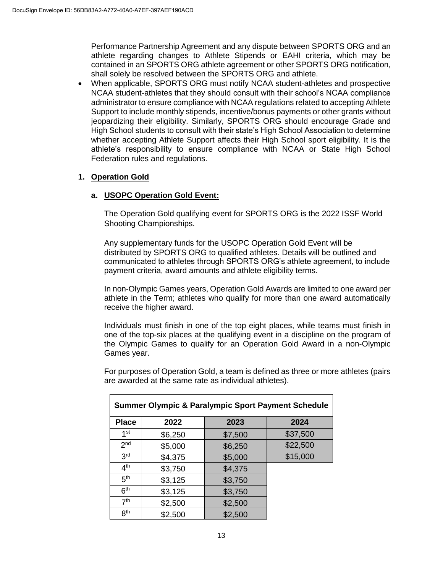Performance Partnership Agreement and any dispute between SPORTS ORG and an athlete regarding changes to Athlete Stipends or EAHI criteria, which may be contained in an SPORTS ORG athlete agreement or other SPORTS ORG notification, shall solely be resolved between the SPORTS ORG and athlete.

 When applicable, SPORTS ORG must notify NCAA student-athletes and prospective NCAA student-athletes that they should consult with their school's NCAA compliance administrator to ensure compliance with NCAA regulations related to accepting Athlete Support to include monthly stipends, incentive/bonus payments or other grants without jeopardizing their eligibility. Similarly, SPORTS ORG should encourage Grade and High School students to consult with their state's High School Association to determine whether accepting Athlete Support affects their High School sport eligibility. It is the athlete's responsibility to ensure compliance with NCAA or State High School Federation rules and regulations.

### **1. Operation Gold**

#### **a. USOPC Operation Gold Event:**

The Operation Gold qualifying event for SPORTS ORG is the 2022 ISSF World Shooting Championships.

Any supplementary funds for the USOPC Operation Gold Event will be distributed by SPORTS ORG to qualified athletes. Details will be outlined and communicated to athletes through SPORTS ORG's athlete agreement, to include payment criteria, award amounts and athlete eligibility terms.

In non-Olympic Games years, Operation Gold Awards are limited to one award per athlete in the Term; athletes who qualify for more than one award automatically receive the higher award.

Individuals must finish in one of the top eight places, while teams must finish in one of the top-six places at the qualifying event in a discipline on the program of the Olympic Games to qualify for an Operation Gold Award in a non-Olympic Games year.

For purposes of Operation Gold, a team is defined as three or more athletes (pairs are awarded at the same rate as individual athletes).

| <b>Summer Olympic &amp; Paralympic Sport Payment Schedule</b> |         |         |          |  |
|---------------------------------------------------------------|---------|---------|----------|--|
| <b>Place</b>                                                  | 2022    | 2023    | 2024     |  |
| 1 <sup>st</sup>                                               | \$6,250 | \$7,500 | \$37,500 |  |
| 2 <sub>nd</sub>                                               | \$5,000 | \$6,250 | \$22,500 |  |
| 3 <sup>rd</sup>                                               | \$4,375 | \$5,000 | \$15,000 |  |
| 4 <sup>th</sup>                                               | \$3,750 | \$4,375 |          |  |
| 5 <sup>th</sup>                                               | \$3,125 | \$3,750 |          |  |
| 6 <sup>th</sup>                                               | \$3,125 | \$3,750 |          |  |
| 7 <sup>th</sup>                                               | \$2,500 | \$2,500 |          |  |
| 8 <sup>th</sup>                                               | \$2,500 | \$2,500 |          |  |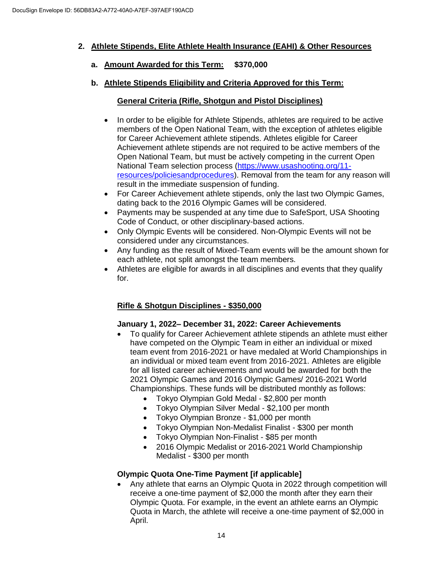# **2. Athlete Stipends, Elite Athlete Health Insurance (EAHI) & Other Resources**

- **a. Amount Awarded for this Term: \$370,000**
- **b. Athlete Stipends Eligibility and Criteria Approved for this Term:**

# **General Criteria (Rifle, Shotgun and Pistol Disciplines)**

- In order to be eligible for Athlete Stipends, athletes are required to be active members of the Open National Team, with the exception of athletes eligible for Career Achievement athlete stipends. Athletes eligible for Career Achievement athlete stipends are not required to be active members of the Open National Team, but must be actively competing in the current Open National Team selection process [\(https://www.usashooting.org/11](https://www.usashooting.org/11-resources/policiesandprocedures) [resources/policiesandprocedures\)](https://www.usashooting.org/11-resources/policiesandprocedures). Removal from the team for any reason will result in the immediate suspension of funding.
- For Career Achievement athlete stipends, only the last two Olympic Games, dating back to the 2016 Olympic Games will be considered.
- Payments may be suspended at any time due to SafeSport, USA Shooting Code of Conduct, or other disciplinary-based actions.
- Only Olympic Events will be considered. Non-Olympic Events will not be considered under any circumstances.
- Any funding as the result of Mixed-Team events will be the amount shown for each athlete, not split amongst the team members.
- Athletes are eligible for awards in all disciplines and events that they qualify for.

# **Rifle & Shotgun Disciplines - \$350,000**

### **January 1, 2022– December 31, 2022: Career Achievements**

- To qualify for Career Achievement athlete stipends an athlete must either have competed on the Olympic Team in either an individual or mixed team event from 2016-2021 or have medaled at World Championships in an individual or mixed team event from 2016-2021. Athletes are eligible for all listed career achievements and would be awarded for both the 2021 Olympic Games and 2016 Olympic Games/ 2016-2021 World Championships. These funds will be distributed monthly as follows:
	- Tokyo Olympian Gold Medal \$2,800 per month
	- Tokyo Olympian Silver Medal \$2,100 per month
	- Tokyo Olympian Bronze \$1,000 per month
	- Tokyo Olympian Non-Medalist Finalist \$300 per month
		- Tokyo Olympian Non-Finalist \$85 per month
		- 2016 Olympic Medalist or 2016-2021 World Championship Medalist - \$300 per month

# **Olympic Quota One-Time Payment [if applicable]**

• Any athlete that earns an Olympic Quota in 2022 through competition will receive a one-time payment of \$2,000 the month after they earn their Olympic Quota. For example, in the event an athlete earns an Olympic Quota in March, the athlete will receive a one-time payment of \$2,000 in April.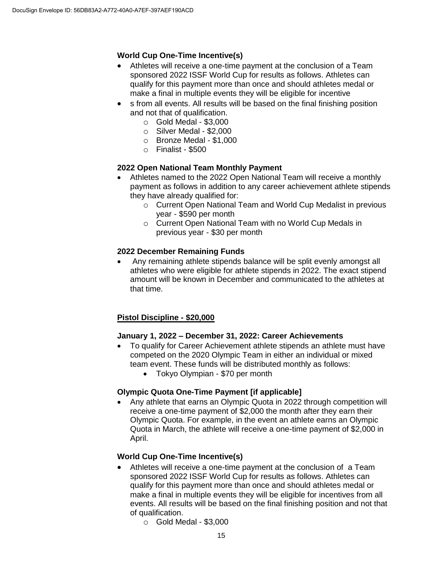# **World Cup One-Time Incentive(s)**

- Athletes will receive a one-time payment at the conclusion of a Team sponsored 2022 ISSF World Cup for results as follows. Athletes can qualify for this payment more than once and should athletes medal or make a final in multiple events they will be eligible for incentive
- s from all events. All results will be based on the final finishing position and not that of qualification.
	- $\circ$  Gold Medal \$3,000
	- o Silver Medal \$2,000
	- o Bronze Medal \$1,000
	- $\circ$  Finalist \$500

### **2022 Open National Team Monthly Payment**

- Athletes named to the 2022 Open National Team will receive a monthly payment as follows in addition to any career achievement athlete stipends they have already qualified for:
	- o Current Open National Team and World Cup Medalist in previous year - \$590 per month
	- o Current Open National Team with no World Cup Medals in previous year - \$30 per month

### **2022 December Remaining Funds**

 Any remaining athlete stipends balance will be split evenly amongst all athletes who were eligible for athlete stipends in 2022. The exact stipend amount will be known in December and communicated to the athletes at that time.

### **Pistol Discipline - \$20,000**

### **January 1, 2022 – December 31, 2022: Career Achievements**

- To qualify for Career Achievement athlete stipends an athlete must have competed on the 2020 Olympic Team in either an individual or mixed team event. These funds will be distributed monthly as follows:
	- Tokyo Olympian \$70 per month

### **Olympic Quota One-Time Payment [if applicable]**

 Any athlete that earns an Olympic Quota in 2022 through competition will receive a one-time payment of \$2,000 the month after they earn their Olympic Quota. For example, in the event an athlete earns an Olympic Quota in March, the athlete will receive a one-time payment of \$2,000 in April.

### **World Cup One-Time Incentive(s)**

- Athletes will receive a one-time payment at the conclusion of a Team sponsored 2022 ISSF World Cup for results as follows. Athletes can qualify for this payment more than once and should athletes medal or make a final in multiple events they will be eligible for incentives from all events. All results will be based on the final finishing position and not that of qualification.
	- $\circ$  Gold Medal \$3,000